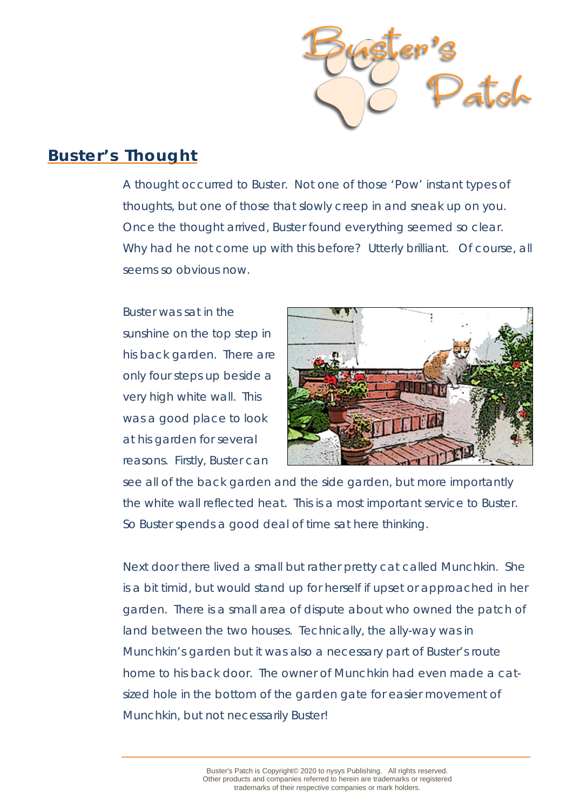

## **Buster's Thought**

A thought occurred to Buster. Not one of those 'Pow' instant types of thoughts, but one of those that slowly creep in and sneak up on you. Once the thought arrived, Buster found everything seemed so clear. Why had he not come up with this before? Utterly brilliant. Of course, all seems so obvious now.

Buster was sat in the sunshine on the top step in his back garden. There are only four steps up beside a very high white wall. This was a good place to look at his garden for several reasons. Firstly, Buster can



see all of the back garden and the side garden, but more importantly the white wall reflected heat. This is a most important service to Buster. So Buster spends a good deal of time sat here thinking.

Next door there lived a small but rather pretty cat called Munchkin. She is a bit timid, but would stand up for herself if upset or approached in her garden. There is a small area of dispute about who owned the patch of land between the two houses. Technically, the ally-way was in Munchkin's garden but it was also a necessary part of Buster's route home to his back door. The owner of Munchkin had even made a catsized hole in the bottom of the garden gate for easier movement of Munchkin, but not necessarily Buster!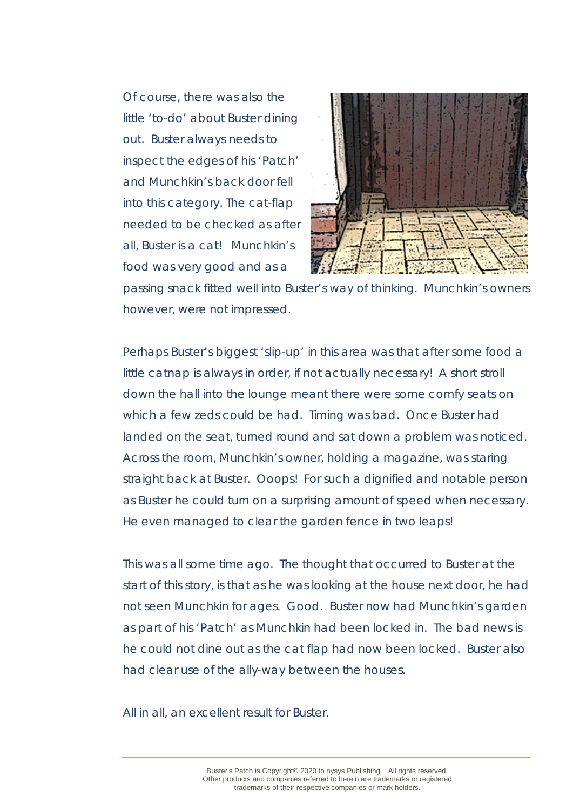Of course, there was also the little 'to-do' about Buster dining out. Buster always needs to inspect the edges of his 'Patch' and Munchkin's back door fell into this category. The cat-flap needed to be checked as after all, Buster is a cat! Munchkin's food was very good and as a



passing snack fitted well into Buster's way of thinking. Munchkin's owners however, were not impressed.

Perhaps Buster's biggest 'slip-up' in this area was that after some food a little catnap is always in order, if not actually necessary! A short stroll down the hall into the lounge meant there were some comfy seats on which a few zeds could be had. Timing was bad. Once Buster had landed on the seat, turned round and sat down a problem was noticed. Across the room, Munchkin's owner, holding a magazine, was staring straight back at Buster. Ooops! For such a dignified and notable person as Buster he could turn on a surprising amount of speed when necessary. He even managed to clear the garden fence in two leaps!

This was all some time ago. The thought that occurred to Buster at the start of this story, is that as he was looking at the house next door, he had not seen Munchkin for ages. Good. Buster now had Munchkin's garden as part of his 'Patch' as Munchkin had been locked in. The bad news is he could not dine out as the cat flap had now been locked. Buster also had clear use of the ally-way between the houses.

All in all, an excellent result for Buster.